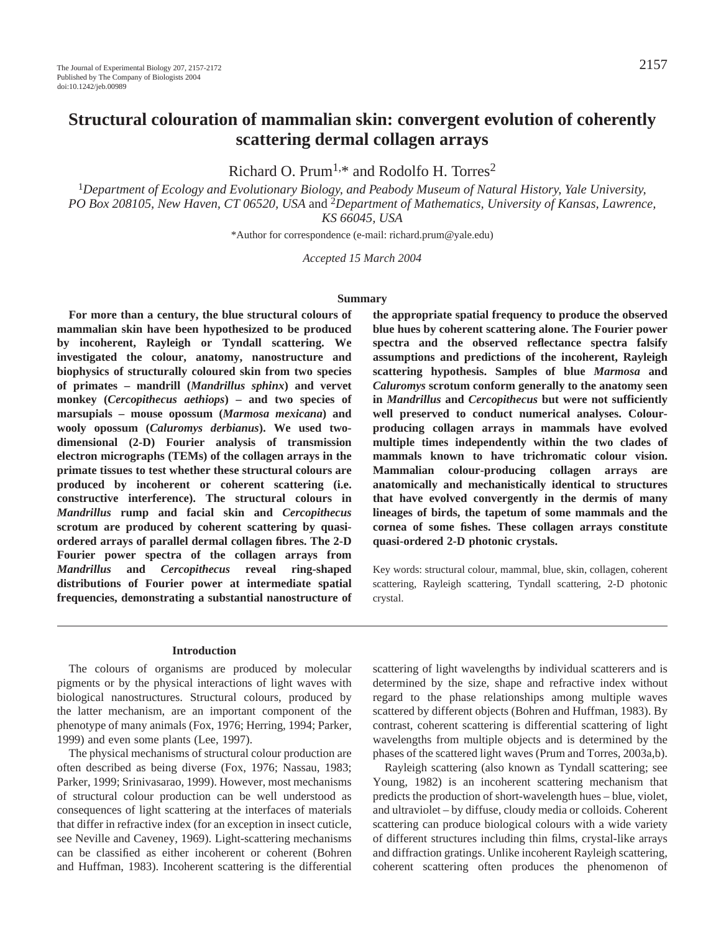# **Structural colouration of mammalian skin: convergent evolution of coherently scattering dermal collagen arrays**

Richard O. Prum<sup>1,\*</sup> and Rodolfo H. Torres<sup>2</sup>

<sup>1</sup>*Department of Ecology and Evolutionary Biology, and Peabody Museum of Natural History, Yale University, PO Box 208105, New Haven, CT 06520, USA* and 2*Department of Mathematics, University of Kansas, Lawrence, KS 66045, USA*

\*Author for correspondence (e-mail: richard.prum@yale.edu)

*Accepted 15 March 2004*

#### **Summary**

**For more than a century, the blue structural colours of mammalian skin have been hypothesized to be produced by incoherent, Rayleigh or Tyndall scattering. We investigated the colour, anatomy, nanostructure and biophysics of structurally coloured skin from two species of primates – mandrill (***Mandrillus sphinx***) and vervet monkey (***Cercopithecus aethiops***) – and two species of marsupials – mouse opossum (***Marmosa mexicana***) and wooly opossum (***Caluromys derbianus***). We used twodimensional (2-D) Fourier analysis of transmission electron micrographs (TEMs) of the collagen arrays in the primate tissues to test whether these structural colours are produced by incoherent or coherent scattering (i.e. constructive interference). The structural colours in** *Mandrillus* **rump and facial skin and** *Cercopithecus* **scrotum are produced by coherent scattering by quasiordered arrays of parallel dermal collagen fibres. The 2-D Fourier power spectra of the collagen arrays from** *Mandrillus* **and** *Cercopithecus* **reveal ring-shaped distributions of Fourier power at intermediate spatial frequencies, demonstrating a substantial nanostructure of** **the appropriate spatial frequency to produce the observed blue hues by coherent scattering alone. The Fourier power spectra and the observed reflectance spectra falsify assumptions and predictions of the incoherent, Rayleigh scattering hypothesis. Samples of blue** *Marmosa* **and** *Caluromys* **scrotum conform generally to the anatomy seen in** *Mandrillus* **and** *Cercopithecus* **but were not sufficiently well preserved to conduct numerical analyses. Colourproducing collagen arrays in mammals have evolved multiple times independently within the two clades of mammals known to have trichromatic colour vision. Mammalian colour-producing collagen arrays are anatomically and mechanistically identical to structures that have evolved convergently in the dermis of many lineages of birds, the tapetum of some mammals and the cornea of some fishes. These collagen arrays constitute quasi-ordered 2-D photonic crystals.**

Key words: structural colour, mammal, blue, skin, collagen, coherent scattering, Rayleigh scattering, Tyndall scattering, 2-D photonic crystal.

#### **Introduction**

The colours of organisms are produced by molecular pigments or by the physical interactions of light waves with biological nanostructures. Structural colours, produced by the latter mechanism, are an important component of the phenotype of many animals (Fox, 1976; Herring, 1994; Parker, 1999) and even some plants (Lee, 1997).

The physical mechanisms of structural colour production are often described as being diverse (Fox, 1976; Nassau, 1983; Parker, 1999; Srinivasarao, 1999). However, most mechanisms of structural colour production can be well understood as consequences of light scattering at the interfaces of materials that differ in refractive index (for an exception in insect cuticle, see Neville and Caveney, 1969). Light-scattering mechanisms can be classified as either incoherent or coherent (Bohren and Huffman, 1983). Incoherent scattering is the differential

scattering of light wavelengths by individual scatterers and is determined by the size, shape and refractive index without regard to the phase relationships among multiple waves scattered by different objects (Bohren and Huffman, 1983). By contrast, coherent scattering is differential scattering of light wavelengths from multiple objects and is determined by the phases of the scattered light waves (Prum and Torres, 2003a,b).

Rayleigh scattering (also known as Tyndall scattering; see Young, 1982) is an incoherent scattering mechanism that predicts the production of short-wavelength hues – blue, violet, and ultraviolet – by diffuse, cloudy media or colloids. Coherent scattering can produce biological colours with a wide variety of different structures including thin films, crystal-like arrays and diffraction gratings. Unlike incoherent Rayleigh scattering, coherent scattering often produces the phenomenon of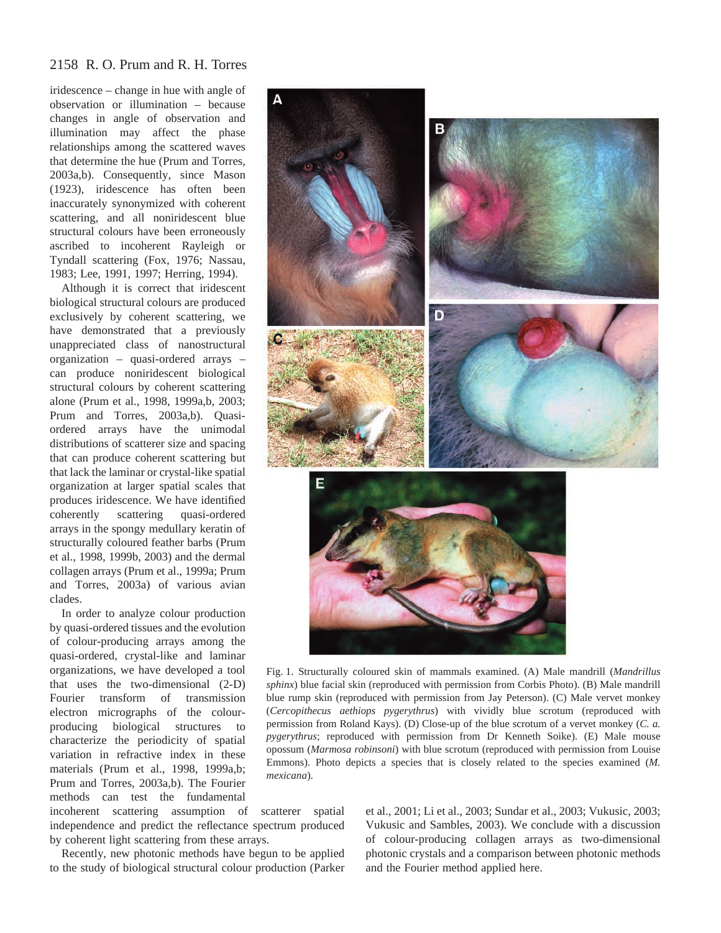iridescence – change in hue with angle of observation or illumination – because changes in angle of observation and illumination may affect the phase relationships among the scattered waves that determine the hue (Prum and Torres, 2003a,b). Consequently, since Mason (1923), iridescence has often been inaccurately synonymized with coherent scattering, and all noniridescent blue structural colours have been erroneously ascribed to incoherent Rayleigh or Tyndall scattering (Fox, 1976; Nassau, 1983; Lee, 1991, 1997; Herring, 1994).

Although it is correct that iridescent biological structural colours are produced exclusively by coherent scattering, we have demonstrated that a previously unappreciated class of nanostructural organization – quasi-ordered arrays – can produce noniridescent biological structural colours by coherent scattering alone (Prum et al., 1998, 1999a,b, 2003; Prum and Torres, 2003a,b). Quasiordered arrays have the unimodal distributions of scatterer size and spacing that can produce coherent scattering but that lack the laminar or crystal-like spatial organization at larger spatial scales that produces iridescence. We have identified coherently scattering quasi-ordered arrays in the spongy medullary keratin of structurally coloured feather barbs (Prum et al., 1998, 1999b, 2003) and the dermal collagen arrays (Prum et al., 1999a; Prum and Torres, 2003a) of various avian clades.

In order to analyze colour production by quasi-ordered tissues and the evolution of colour-producing arrays among the quasi-ordered, crystal-like and laminar organizations, we have developed a tool that uses the two-dimensional (2-D) Fourier transform of transmission electron micrographs of the colourproducing biological structures to characterize the periodicity of spatial variation in refractive index in these materials (Prum et al., 1998, 1999a,b; Prum and Torres, 2003a,b). The Fourier methods can test the fundamental incoherent scattering assumption of scatterer spatial independence and predict the reflectance spectrum produced

by coherent light scattering from these arrays. Recently, new photonic methods have begun to be applied

to the study of biological structural colour production (Parker

Б

Fig. 1. Structurally coloured skin of mammals examined. (A) Male mandrill (*Mandrillus sphinx*) blue facial skin (reproduced with permission from Corbis Photo). (B) Male mandrill blue rump skin (reproduced with permission from Jay Peterson). (C) Male vervet monkey (*Cercopithecus aethiops pygerythrus*) with vividly blue scrotum (reproduced with permission from Roland Kays). (D) Close-up of the blue scrotum of a vervet monkey (*C. a. pygerythrus*; reproduced with permission from Dr Kenneth Soike). (E) Male mouse opossum (*Marmosa robinsoni*) with blue scrotum (reproduced with permission from Louise Emmons). Photo depicts a species that is closely related to the species examined (*M. mexicana*).

et al., 2001; Li et al., 2003; Sundar et al., 2003; Vukusic, 2003; Vukusic and Sambles, 2003). We conclude with a discussion of colour-producing collagen arrays as two-dimensional photonic crystals and a comparison between photonic methods and the Fourier method applied here.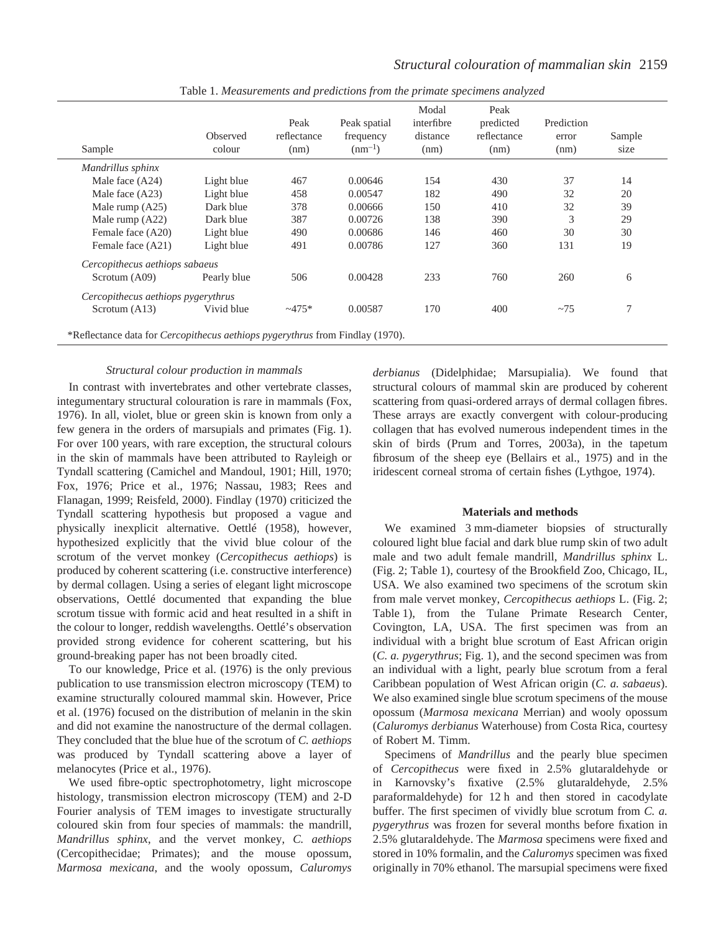| Sample                                                                               | Observed<br>colour | Peak<br>reflectance<br>(nm) | Peak spatial<br>frequency<br>$(nm^{-1})$ | Modal<br>interfibre<br>distance<br>(nm) | Peak<br>predicted<br>reflectance<br>(nm) | Prediction<br>error<br>(nm) | Sample<br>size |
|--------------------------------------------------------------------------------------|--------------------|-----------------------------|------------------------------------------|-----------------------------------------|------------------------------------------|-----------------------------|----------------|
| Mandrillus sphinx                                                                    |                    |                             |                                          |                                         |                                          |                             |                |
| Male face (A24)                                                                      | Light blue         | 467                         | 0.00646                                  | 154                                     | 430                                      | 37                          | 14             |
| Male face (A23)                                                                      | Light blue         | 458                         | 0.00547                                  | 182                                     | 490                                      | 32                          | 20             |
| Male rump $(A25)$                                                                    | Dark blue          | 378                         | 0.00666                                  | 150                                     | 410                                      | 32                          | 39             |
| Male rump $(A22)$                                                                    | Dark blue          | 387                         | 0.00726                                  | 138                                     | 390                                      | 3                           | 29             |
| Female face (A20)                                                                    | Light blue         | 490                         | 0.00686                                  | 146                                     | 460                                      | 30                          | 30             |
| Female face (A21)                                                                    | Light blue         | 491                         | 0.00786                                  | 127                                     | 360                                      | 131                         | 19             |
| Cercopithecus aethiops sabaeus                                                       |                    |                             |                                          |                                         |                                          |                             |                |
| Scrotum $(A09)$                                                                      | Pearly blue        | 506                         | 0.00428                                  | 233                                     | 760                                      | 260                         | 6              |
| Cercopithecus aethiops pygerythrus                                                   |                    |                             |                                          |                                         |                                          |                             |                |
| Scrotum $(A13)$                                                                      | Vivid blue         | $-475*$                     | 0.00587                                  | 170                                     | 400                                      | ~1                          | 7              |
| *Reflectance data for <i>Cercopithecus aethiops pygerythrus</i> from Findlay (1970). |                    |                             |                                          |                                         |                                          |                             |                |

Table 1. *Measurements and predictions from the primate specimens analyzed*

#### *Structural colour production in mammals*

In contrast with invertebrates and other vertebrate classes, integumentary structural colouration is rare in mammals (Fox, 1976). In all, violet, blue or green skin is known from only a few genera in the orders of marsupials and primates (Fig. 1). For over 100 years, with rare exception, the structural colours in the skin of mammals have been attributed to Rayleigh or Tyndall scattering (Camichel and Mandoul, 1901; Hill, 1970; Fox, 1976; Price et al., 1976; Nassau, 1983; Rees and Flanagan, 1999; Reisfeld, 2000). Findlay (1970) criticized the Tyndall scattering hypothesis but proposed a vague and physically inexplicit alternative. Oettlé (1958), however, hypothesized explicitly that the vivid blue colour of the scrotum of the vervet monkey (*Cercopithecus aethiops*) is produced by coherent scattering (i.e. constructive interference) by dermal collagen. Using a series of elegant light microscope observations, Oettlé documented that expanding the blue scrotum tissue with formic acid and heat resulted in a shift in the colour to longer, reddish wavelengths. Oettlé's observation provided strong evidence for coherent scattering, but his ground-breaking paper has not been broadly cited.

To our knowledge, Price et al. (1976) is the only previous publication to use transmission electron microscopy (TEM) to examine structurally coloured mammal skin. However, Price et al. (1976) focused on the distribution of melanin in the skin and did not examine the nanostructure of the dermal collagen. They concluded that the blue hue of the scrotum of *C. aethiops* was produced by Tyndall scattering above a layer of melanocytes (Price et al., 1976).

We used fibre-optic spectrophotometry, light microscope histology, transmission electron microscopy (TEM) and 2-D Fourier analysis of TEM images to investigate structurally coloured skin from four species of mammals: the mandrill, *Mandrillus sphinx*, and the vervet monkey, *C. aethiops* (Cercopithecidae; Primates); and the mouse opossum, *Marmosa mexicana*, and the wooly opossum, *Caluromys*

*derbianus* (Didelphidae; Marsupialia). We found that structural colours of mammal skin are produced by coherent scattering from quasi-ordered arrays of dermal collagen fibres. These arrays are exactly convergent with colour-producing collagen that has evolved numerous independent times in the skin of birds (Prum and Torres, 2003a), in the tapetum fibrosum of the sheep eye (Bellairs et al., 1975) and in the iridescent corneal stroma of certain fishes (Lythgoe, 1974).

#### **Materials and methods**

We examined 3 mm-diameter biopsies of structurally coloured light blue facial and dark blue rump skin of two adult male and two adult female mandrill, *Mandrillus sphinx* L. (Fig. 2; Table 1), courtesy of the Brookfield Zoo, Chicago, IL, USA. We also examined two specimens of the scrotum skin from male vervet monkey, *Cercopithecus aethiops* L. (Fig. 2; Table 1), from the Tulane Primate Research Center, Covington, LA, USA. The first specimen was from an individual with a bright blue scrotum of East African origin (*C. a. pygerythrus*; Fig. 1), and the second specimen was from an individual with a light, pearly blue scrotum from a feral Caribbean population of West African origin (*C. a. sabaeus*). We also examined single blue scrotum specimens of the mouse opossum (*Marmosa mexicana* Merrian) and wooly opossum (*Caluromys derbianus* Waterhouse) from Costa Rica, courtesy of Robert M. Timm.

Specimens of *Mandrillus* and the pearly blue specimen of *Cercopithecus* were fixed in 2.5% glutaraldehyde or in Karnovsky's fixative (2.5% glutaraldehyde, 2.5% paraformaldehyde) for 12 h and then stored in cacodylate buffer. The first specimen of vividly blue scrotum from *C. a. pygerythrus* was frozen for several months before fixation in 2.5% glutaraldehyde. The *Marmosa* specimens were fixed and stored in 10% formalin, and the *Caluromys* specimen was fixed originally in 70% ethanol. The marsupial specimens were fixed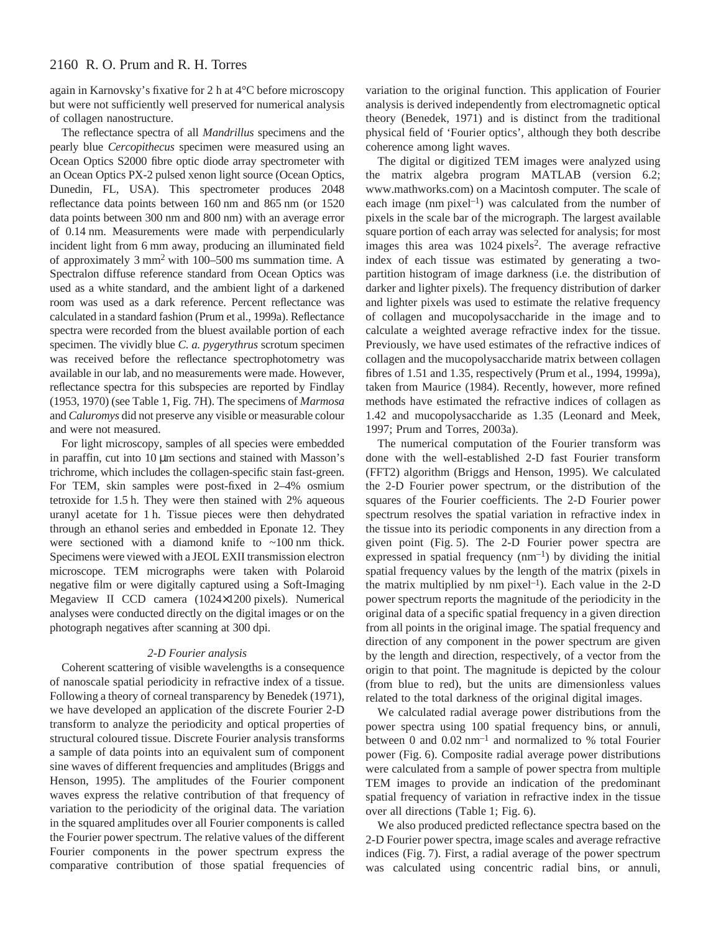again in Karnovsky's fixative for 2 h at 4°C before microscopy but were not sufficiently well preserved for numerical analysis of collagen nanostructure.

The reflectance spectra of all *Mandrillus* specimens and the pearly blue *Cercopithecus* specimen were measured using an Ocean Optics S2000 fibre optic diode array spectrometer with an Ocean Optics PX-2 pulsed xenon light source (Ocean Optics, Dunedin, FL, USA). This spectrometer produces 2048 reflectance data points between 160 nm and 865 nm (or 1520) data points between 300 nm and 800 nm) with an average error of 0.14 nm. Measurements were made with perpendicularly incident light from 6 mm away, producing an illuminated field of approximately  $3 \text{ mm}^2$  with 100–500 ms summation time. A Spectralon diffuse reference standard from Ocean Optics was used as a white standard, and the ambient light of a darkened room was used as a dark reference. Percent reflectance was calculated in a standard fashion (Prum et al., 1999a). Reflectance spectra were recorded from the bluest available portion of each specimen. The vividly blue *C. a. pygerythrus* scrotum specimen was received before the reflectance spectrophotometry was available in our lab, and no measurements were made. However, reflectance spectra for this subspecies are reported by Findlay (1953, 1970) (see Table 1, Fig. 7H). The specimens of *Marmosa* and *Caluromys* did not preserve any visible or measurable colour and were not measured.

For light microscopy, samples of all species were embedded in paraffin, cut into  $10 \mu m$  sections and stained with Masson's trichrome, which includes the collagen-specific stain fast-green. For TEM, skin samples were post-fixed in 2–4% osmium tetroxide for  $1.5$  h. They were then stained with 2% aqueous uranyl acetate for 1 h. Tissue pieces were then dehydrated through an ethanol series and embedded in Eponate 12. They were sectioned with a diamond knife to  $~100$  nm thick. Specimens were viewed with a JEOL EXII transmission electron microscope. TEM micrographs were taken with Polaroid negative film or were digitally captured using a Soft-Imaging Megaview II CCD camera (1024×1200 pixels). Numerical analyses were conducted directly on the digital images or on the photograph negatives after scanning at 300 dpi.

#### *2-D Fourier analysis*

Coherent scattering of visible wavelengths is a consequence of nanoscale spatial periodicity in refractive index of a tissue. Following a theory of corneal transparency by Benedek (1971), we have developed an application of the discrete Fourier 2-D transform to analyze the periodicity and optical properties of structural coloured tissue. Discrete Fourier analysis transforms a sample of data points into an equivalent sum of component sine waves of different frequencies and amplitudes (Briggs and Henson, 1995). The amplitudes of the Fourier component waves express the relative contribution of that frequency of variation to the periodicity of the original data. The variation in the squared amplitudes over all Fourier components is called the Fourier power spectrum. The relative values of the different Fourier components in the power spectrum express the comparative contribution of those spatial frequencies of variation to the original function. This application of Fourier analysis is derived independently from electromagnetic optical theory (Benedek, 1971) and is distinct from the traditional physical field of 'Fourier optics', although they both describe coherence among light waves.

The digital or digitized TEM images were analyzed using the matrix algebra program MATLAB (version 6.2; www.mathworks.com) on a Macintosh computer. The scale of each image (nm pixel<sup>-1</sup>) was calculated from the number of pixels in the scale bar of the micrograph. The largest available square portion of each array was selected for analysis; for most images this area was 1024 pixels<sup>2</sup>. The average refractive index of each tissue was estimated by generating a twopartition histogram of image darkness (i.e. the distribution of darker and lighter pixels). The frequency distribution of darker and lighter pixels was used to estimate the relative frequency of collagen and mucopolysaccharide in the image and to calculate a weighted average refractive index for the tissue. Previously, we have used estimates of the refractive indices of collagen and the mucopolysaccharide matrix between collagen fibres of 1.51 and 1.35, respectively (Prum et al., 1994, 1999a), taken from Maurice (1984). Recently, however, more refined methods have estimated the refractive indices of collagen as 1.42 and mucopolysaccharide as 1.35 (Leonard and Meek, 1997; Prum and Torres, 2003a).

The numerical computation of the Fourier transform was done with the well-established 2-D fast Fourier transform (FFT2) algorithm (Briggs and Henson, 1995). We calculated the 2-D Fourier power spectrum, or the distribution of the squares of the Fourier coefficients. The 2-D Fourier power spectrum resolves the spatial variation in refractive index in the tissue into its periodic components in any direction from a given point (Fig. 5). The 2-D Fourier power spectra are expressed in spatial frequency  $(nm^{-1})$  by dividing the initial spatial frequency values by the length of the matrix (pixels in the matrix multiplied by nm pixel<sup>-1</sup>). Each value in the 2-D power spectrum reports the magnitude of the periodicity in the original data of a specific spatial frequency in a given direction from all points in the original image. The spatial frequency and direction of any component in the power spectrum are given by the length and direction, respectively, of a vector from the origin to that point. The magnitude is depicted by the colour (from blue to red), but the units are dimensionless values related to the total darkness of the original digital images.

We calculated radial average power distributions from the power spectra using 100 spatial frequency bins, or annuli, between 0 and  $0.02~\text{nm}^{-1}$  and normalized to % total Fourier power (Fig. 6). Composite radial average power distributions were calculated from a sample of power spectra from multiple TEM images to provide an indication of the predominant spatial frequency of variation in refractive index in the tissue over all directions (Table 1; Fig. 6).

We also produced predicted reflectance spectra based on the 2-D Fourier power spectra, image scales and average refractive indices (Fig. 7). First, a radial average of the power spectrum was calculated using concentric radial bins, or annuli,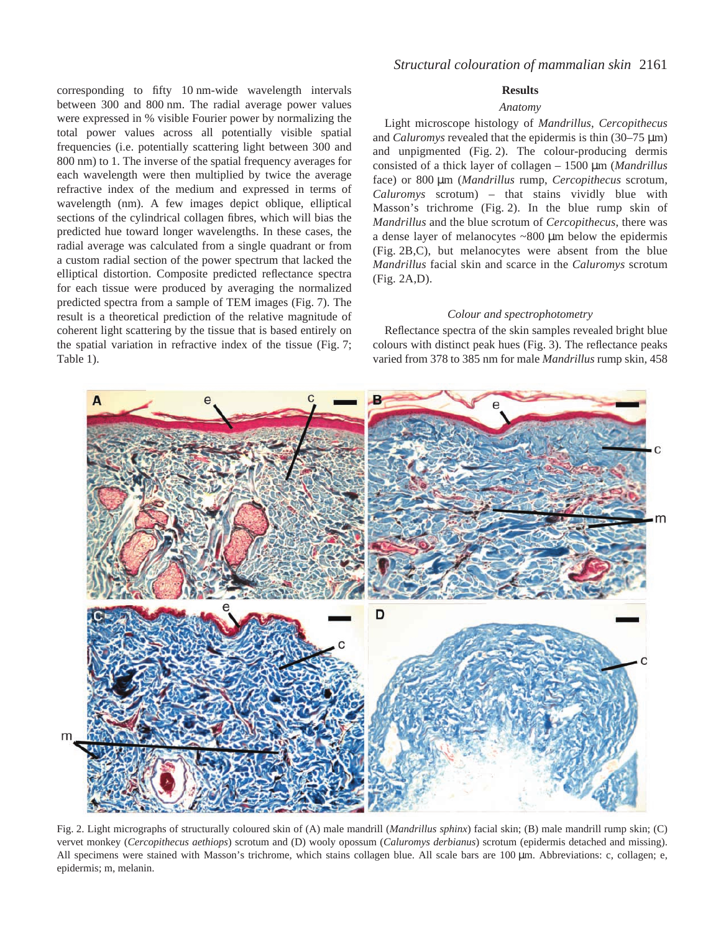corresponding to fifty 10 nm-wide wavelength intervals between 300 and 800 nm. The radial average power values were expressed in % visible Fourier power by normalizing the total power values across all potentially visible spatial frequencies (i.e. potentially scattering light between 300 and 800 nm) to 1. The inverse of the spatial frequency averages for each wavelength were then multiplied by twice the average refractive index of the medium and expressed in terms of wavelength (nm). A few images depict oblique, elliptical sections of the cylindrical collagen fibres, which will bias the predicted hue toward longer wavelengths. In these cases, the radial average was calculated from a single quadrant or from a custom radial section of the power spectrum that lacked the elliptical distortion. Composite predicted reflectance spectra for each tissue were produced by averaging the normalized predicted spectra from a sample of TEM images (Fig. 7). The result is a theoretical prediction of the relative magnitude of coherent light scattering by the tissue that is based entirely on the spatial variation in refractive index of the tissue (Fig.  $7$ ; Table 1).

### **Results**

### *Anatomy*

Light microscope histology of *Mandrillus*, *Cercopithecus* and *Caluromys* revealed that the epidermis is thin (30–75 µm) and unpigmented  $(Fig. 2)$ . The colour-producing dermis consisted of a thick layer of collagen – 1500 µm (*Mandrillus* face) or 800  $\mu$ m (*Mandrillus* rump, *Cercopithecus* scrotum, *Caluromys* scrotum) – that stains vividly blue with Masson's trichrome (Fig. 2). In the blue rump skin of *Mandrillus* and the blue scrotum of *Cercopithecus*, there was a dense layer of melanocytes  $\sim 800 \mu m$  below the epidermis (Fig. 2B,C), but melanocytes were absent from the blue *Mandrillus* facial skin and scarce in the *Caluromys* scrotum  $(Fig. 2A,D)$ .

#### *Colour and spectrophotometry*

Reflectance spectra of the skin samples revealed bright blue colours with distinct peak hues (Fig. 3). The reflectance peaks varied from 378 to 385 nm for male *Mandrillus* rump skin, 458



Fig. 2. Light micrographs of structurally coloured skin of (A) male mandrill (*Mandrillus sphinx*) facial skin; (B) male mandrill rump skin; (C) vervet monkey (*Cercopithecus aethiops*) scrotum and (D) wooly opossum (*Caluromys derbianus*) scrotum (epidermis detached and missing). All specimens were stained with Masson's trichrome, which stains collagen blue. All scale bars are 100 µm. Abbreviations: c, collagen; e, epidermis; m, melanin.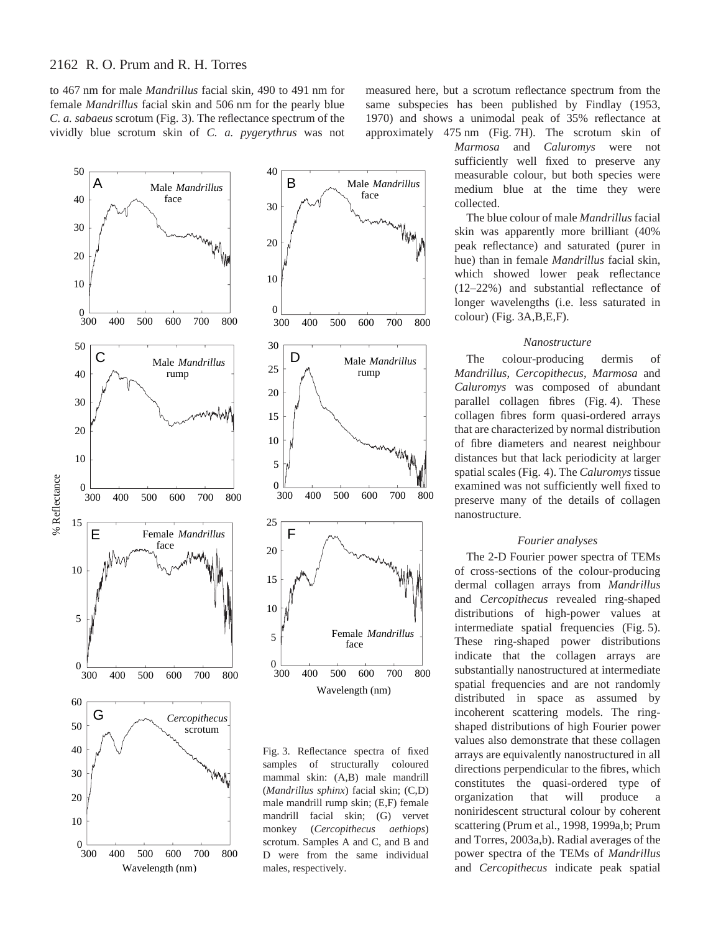to 467 nm for male *Mandrillus* facial skin, 490 to 491 nm for female *Mandrillus* facial skin and 506 nm for the pearly blue *C. a. sabaeus* scrotum (Fig. 3). The reflectance spectrum of the vividly blue scrotum skin of *C. a. pygerythrus* was not

50 40 B A Male *Mandrillus* Male *Mandrillus* face 40 face 30 30 20 20 10 10 0  $0 -$ <br>300 300 400 500 600 700 800 300 400 500 600 700 800 30 50 C Male *Mandrillus* D<sub>25</sub> D Male *Mandrillus* 25 40 rump rump 20 30 15 20 10 10 5 % Reflectance % Reflectance  $0\frac{1}{300}$  $0 \downarrow 300$ 300 400 500 600 700 800 300 400 500 600 700 800 15 25 E Female *Mandrillus* | F face 20 10 15 10 5 Female *Mandrillus* 5 face  $0\frac{1}{300}$  $_{300}^{0}$ 300 400 500 600 700 800 300 400 500 600 700 800 Wavelength (nm) 60 G *Cercopithecus* scrotum 50 40 Fig. 3. Reflectance spectra of fixed samples of structurally coloured 30 mammal skin: (A,B) male mandrill (*Mandrillus sphinx*) facial skin; (C,D) 20 male mandrill rump skin; (E,F) female mandrill facial skin; (G) vervet 10 monkey (*Cercopithecus aethiops*) scrotum. Samples A and C, and B and  $^{0}$   $^{1}$  300 300 400 500 600 700 800 D were from the same individual males, respectively.Wavelength (nm)

measured here, but a scrotum reflectance spectrum from the same subspecies has been published by Findlay (1953, 1970) and shows a unimodal peak of 35% reflectance at approximately  $475$  nm (Fig. 7H). The scrotum skin of

*Marmosa* and *Caluromys* were not sufficiently well fixed to preserve any measurable colour, but both species were medium blue at the time they were collected.

The blue colour of male *Mandrillus* facial skin was apparently more brilliant (40% peak reflectance) and saturated (purer in hue) than in female *Mandrillus* facial skin, which showed lower peak reflectance (12–22%) and substantial reflectance of longer wavelengths (i.e. less saturated in  $colour)$  (Fig.  $3A,B,E,F$ ).

### *Nanostructure*

The colour-producing dermis of *Mandrillus*, *Cercopithecus*, *Marmosa* and *Caluromys* was composed of abundant parallel collagen fibres (Fig. 4). These collagen fibres form quasi-ordered arrays that are characterized by normal distribution of fibre diameters and nearest neighbour distances but that lack periodicity at larger spatial scales (Fig. 4). The *Caluromys* tissue examined was not sufficiently well fixed to preserve many of the details of collagen nanostructure.

#### *Fourier analyses*

The 2-D Fourier power spectra of TEMs of cross-sections of the colour-producing dermal collagen arrays from *Mandrillus* and *Cercopithecus* revealed ring-shaped distributions of high-power values at intermediate spatial frequencies (Fig. 5). These ring-shaped power distributions indicate that the collagen arrays are substantially nanostructured at intermediate spatial frequencies and are not randomly distributed in space as assumed by incoherent scattering models. The ringshaped distributions of high Fourier power values also demonstrate that these collagen arrays are equivalently nanostructured in all directions perpendicular to the fibres, which constitutes the quasi-ordered type of organization that will produce a noniridescent structural colour by coherent scattering (Prum et al., 1998, 1999a,b; Prum and Torres, 2003a,b). Radial averages of the power spectra of the TEMs of *Mandrillus* and *Cercopithecus* indicate peak spatial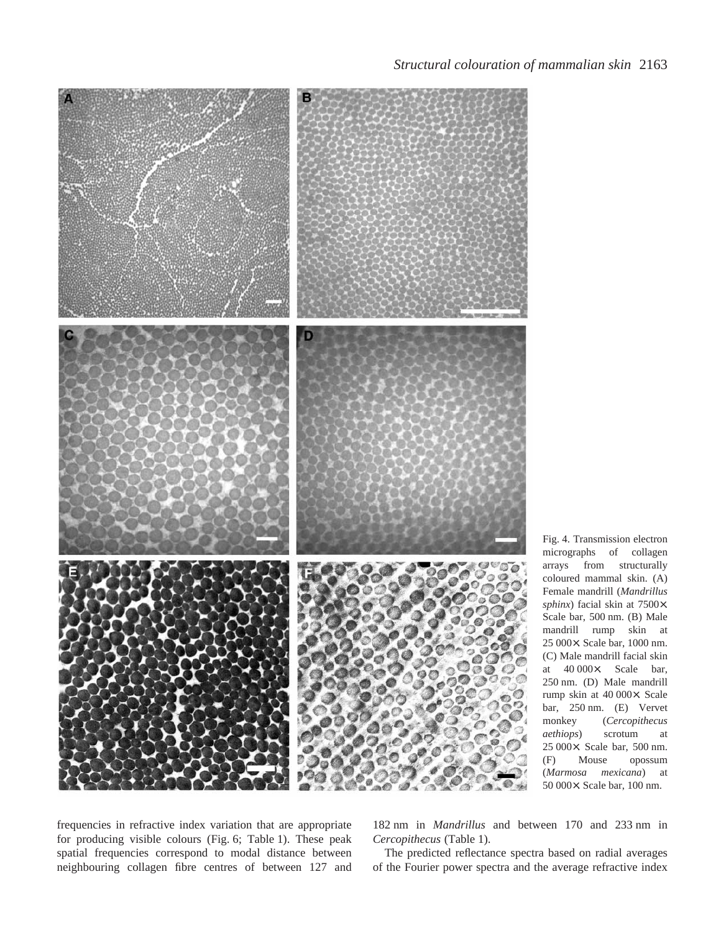

Fig. 4. Transmission electron micrographs of collagen arrays from structurally coloured mammal skin. (A) Female mandrill (*Mandrillus sphinx*) facial skin at 7500×. Scale bar, 500 nm. (B) Male mandrill rump skin at 25 000×. Scale bar, 1000 nm. (C) Male mandrill facial skin at  $40\,000\times$ . Scale bar, 250 nm. (D) Male mandrill rump skin at 40 000×. Scale bar, 250 nm. (E) Vervet monkey (*Cercopithecus aethiops*) scrotum at 25 000×. Scale bar, 500 nm. (F) Mouse opossum (*Marmosa mexicana*) at 50 000×. Scale bar, 100 nm.

frequencies in refractive index variation that are appropriate for producing visible colours (Fig. 6; Table 1). These peak spatial frequencies correspond to modal distance between neighbouring collagen fibre centres of between 127 and 182 nm in *Mandrillus* and between 170 and 233 nm in *Cercopithecus* (Table 1).

The predicted reflectance spectra based on radial averages of the Fourier power spectra and the average refractive index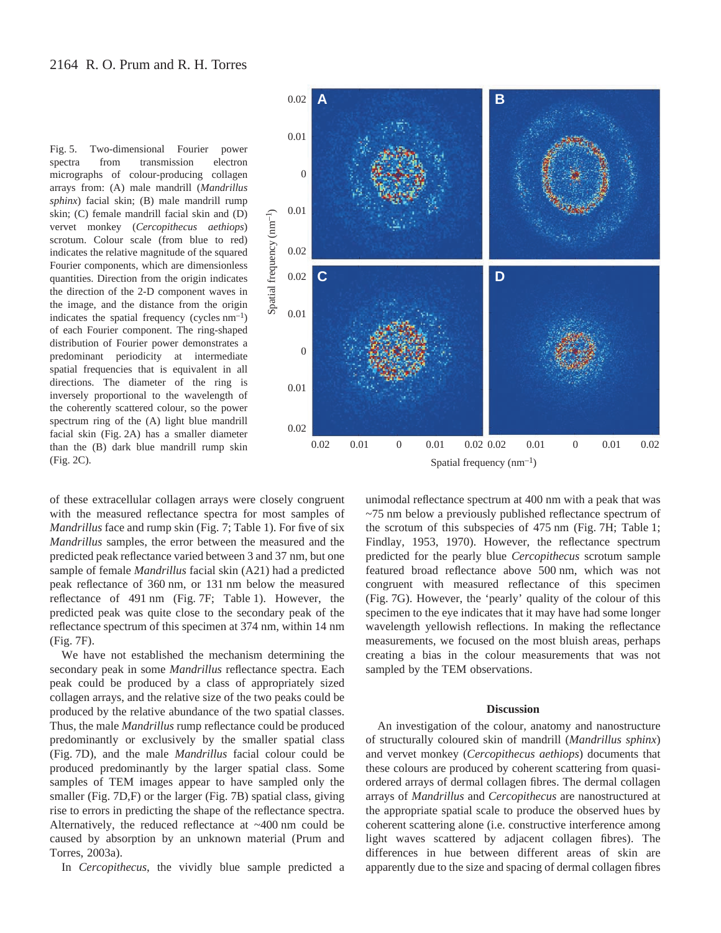Fig. 5. Two-dimensional Fourier power spectra from transmission electron micrographs of colour-producing collagen arrays from: (A) male mandrill (*Mandrillus sphinx*) facial skin; (B) male mandrill rump skin; (C) female mandrill facial skin and (D) vervet monkey (*Cercopithecus aethiops*) scrotum. Colour scale (from blue to red) indicates the relative magnitude of the squared Fourier components, which are dimensionless quantities. Direction from the origin indicates the direction of the 2-D component waves in the image, and the distance from the origin indicates the spatial frequency (cycles  $nm^{-1}$ ) of each Fourier component. The ring-shaped distribution of Fourier power demonstrates a predominant periodicity at intermediate spatial frequencies that is equivalent in all directions. The diameter of the ring is inversely proportional to the wavelength of the coherently scattered colour, so the power spectrum ring of the (A) light blue mandrill facial skin (Fig. 2A) has a smaller diameter than the (B) dark blue mandrill rump skin  $(Fig. 2C)$ .



of these extracellular collagen arrays were closely congruent with the measured reflectance spectra for most samples of *Mandrillus* face and rump skin (Fig. 7; Table 1). For five of six *Mandrillus* samples, the error between the measured and the predicted peak reflectance varied between 3 and 37 nm, but one sample of female *Mandrillus* facial skin (A21) had a predicted peak reflectance of 360 nm, or 131 nm below the measured reflectance of 491 nm (Fig. 7F; Table 1). However, the predicted peak was quite close to the secondary peak of the reflectance spectrum of this specimen at 374 nm, within 14 nm  $(Fig. 7F)$ .

We have not established the mechanism determining the secondary peak in some *Mandrillus* reflectance spectra. Each peak could be produced by a class of appropriately sized collagen arrays, and the relative size of the two peaks could be produced by the relative abundance of the two spatial classes. Thus, the male *Mandrillus* rump reflectance could be produced predominantly or exclusively by the smaller spatial class (Fig.·7D), and the male *Mandrillus* facial colour could be produced predominantly by the larger spatial class. Some samples of TEM images appear to have sampled only the smaller (Fig. 7D,F) or the larger (Fig. 7B) spatial class, giving rise to errors in predicting the shape of the reflectance spectra. Alternatively, the reduced reflectance at  $~1400$  nm could be caused by absorption by an unknown material (Prum and Torres, 2003a).

In *Cercopithecus*, the vividly blue sample predicted a

unimodal reflectance spectrum at 400 nm with a peak that was  $~1$ -75 nm below a previously published reflectance spectrum of the scrotum of this subspecies of  $475~\text{nm}$  (Fig. 7H; Table 1; Findlay, 1953, 1970). However, the reflectance spectrum predicted for the pearly blue *Cercopithecus* scrotum sample featured broad reflectance above 500 nm, which was not congruent with measured reflectance of this specimen (Fig. 7G). However, the 'pearly' quality of the colour of this specimen to the eye indicates that it may have had some longer wavelength yellowish reflections. In making the reflectance measurements, we focused on the most bluish areas, perhaps creating a bias in the colour measurements that was not sampled by the TEM observations.

#### **Discussion**

An investigation of the colour, anatomy and nanostructure of structurally coloured skin of mandrill (*Mandrillus sphinx*) and vervet monkey (*Cercopithecus aethiops*) documents that these colours are produced by coherent scattering from quasiordered arrays of dermal collagen fibres. The dermal collagen arrays of *Mandrillus* and *Cercopithecus* are nanostructured at the appropriate spatial scale to produce the observed hues by coherent scattering alone (i.e. constructive interference among light waves scattered by adjacent collagen fibres). The differences in hue between different areas of skin are apparently due to the size and spacing of dermal collagen fibres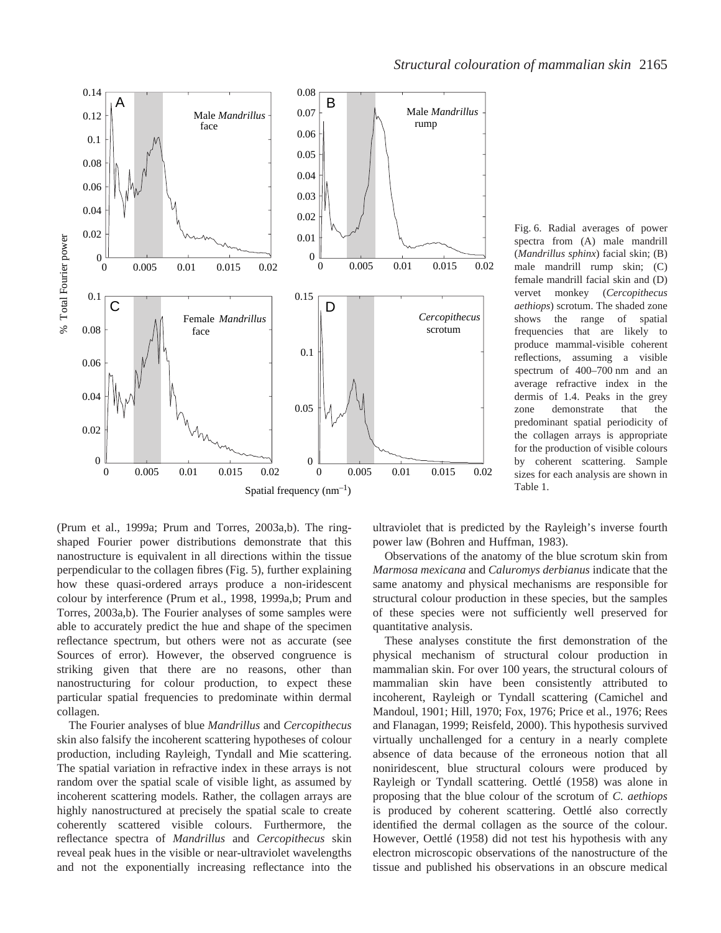

Fig. 6. Radial averages of power spectra from (A) male mandrill (*Mandrillus sphinx*) facial skin; (B) male mandrill rump skin; (C) female mandrill facial skin and (D) vervet monkey (*Cercopithecus aethiops*) scrotum. The shaded zone shows the range of spatial frequencies that are likely to produce mammal-visible coherent reflections, assuming a visible spectrum of 400-700 nm and an average refractive index in the dermis of 1.4. Peaks in the grey zone demonstrate that the predominant spatial periodicity of the collagen arrays is appropriate for the production of visible colours by coherent scattering. Sample sizes for each analysis are shown in Table 1.

(Prum et al., 1999a; Prum and Torres, 2003a,b). The ringshaped Fourier power distributions demonstrate that this nanostructure is equivalent in all directions within the tissue perpendicular to the collagen fibres (Fig. 5), further explaining how these quasi-ordered arrays produce a non-iridescent colour by interference (Prum et al., 1998, 1999a,b; Prum and Torres, 2003a,b). The Fourier analyses of some samples were able to accurately predict the hue and shape of the specimen reflectance spectrum, but others were not as accurate (see Sources of error). However, the observed congruence is striking given that there are no reasons, other than nanostructuring for colour production, to expect these particular spatial frequencies to predominate within dermal collagen.

The Fourier analyses of blue *Mandrillus* and *Cercopithecus* skin also falsify the incoherent scattering hypotheses of colour production, including Rayleigh, Tyndall and Mie scattering. The spatial variation in refractive index in these arrays is not random over the spatial scale of visible light, as assumed by incoherent scattering models. Rather, the collagen arrays are highly nanostructured at precisely the spatial scale to create coherently scattered visible colours. Furthermore, the reflectance spectra of *Mandrillus* and *Cercopithecus* skin reveal peak hues in the visible or near-ultraviolet wavelengths and not the exponentially increasing reflectance into the

ultraviolet that is predicted by the Rayleigh's inverse fourth power law (Bohren and Huffman, 1983).

Observations of the anatomy of the blue scrotum skin from *Marmosa mexicana* and *Caluromys derbianus* indicate that the same anatomy and physical mechanisms are responsible for structural colour production in these species, but the samples of these species were not sufficiently well preserved for quantitative analysis.

These analyses constitute the first demonstration of the physical mechanism of structural colour production in mammalian skin. For over 100 years, the structural colours of mammalian skin have been consistently attributed to incoherent, Rayleigh or Tyndall scattering (Camichel and Mandoul, 1901; Hill, 1970; Fox, 1976; Price et al., 1976; Rees and Flanagan, 1999; Reisfeld, 2000). This hypothesis survived virtually unchallenged for a century in a nearly complete absence of data because of the erroneous notion that all noniridescent, blue structural colours were produced by Rayleigh or Tyndall scattering. Oettlé (1958) was alone in proposing that the blue colour of the scrotum of *C. aethiops* is produced by coherent scattering. Oettlé also correctly identified the dermal collagen as the source of the colour. However, Oettlé (1958) did not test his hypothesis with any electron microscopic observations of the nanostructure of the tissue and published his observations in an obscure medical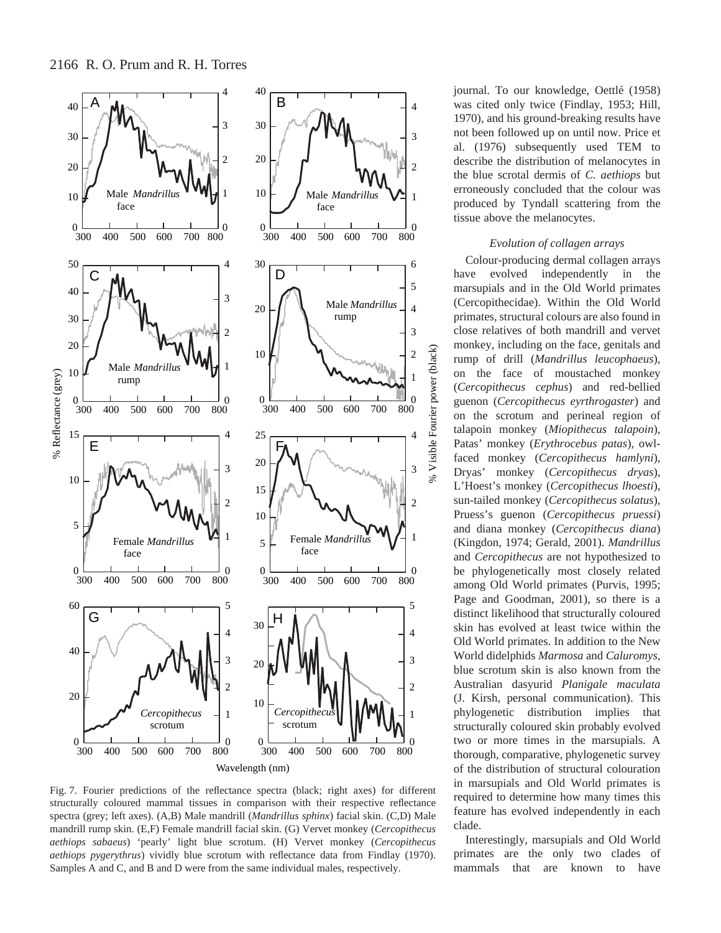

Fig. 7. Fourier predictions of the reflectance spectra (black; right axes) for different structurally coloured mammal tissues in comparison with their respective reflectance spectra (grey; left axes). (A,B) Male mandrill (*Mandrillus sphinx*) facial skin. (C,D) Male mandrill rump skin. (E,F) Female mandrill facial skin. (G) Vervet monkey (*Cercopithecus aethiops sabaeus*) 'pearly' light blue scrotum. (H) Vervet monkey (*Cercopithecus aethiops pygerythrus*) vividly blue scrotum with reflectance data from Findlay (1970). Samples A and C, and B and D were from the same individual males, respectively.

journal. To our knowledge, Oettlé (1958) was cited only twice (Findlay, 1953; Hill, 1970), and his ground-breaking results have not been followed up on until now. Price et al. (1976) subsequently used TEM to describe the distribution of melanocytes in the blue scrotal dermis of *C. aethiops* but erroneously concluded that the colour was produced by Tyndall scattering from the tissue above the melanocytes.

#### *Evolution of collagen arrays*

Colour-producing dermal collagen arrays have evolved independently in the marsupials and in the Old World primates (Cercopithecidae). Within the Old World primates, structural colours are also found in close relatives of both mandrill and vervet monkey, including on the face, genitals and rump of drill (*Mandrillus leucophaeus*), on the face of moustached monkey (*Cercopithecus cephus*) and red-bellied guenon (*Cercopithecus eyrthrogaster*) and on the scrotum and perineal region of talapoin monkey (*Miopithecus talapoin*), Patas' monkey (*Erythrocebus patas*), owlfaced monkey (*Cercopithecus hamlyni*), Dryas' monkey (*Cercopithecus dryas*), L'Hoest's monkey (*Cercopithecus lhoesti*), sun-tailed monkey (*Cercopithecus solatus*), Pruess's guenon (*Cercopithecus pruessi*) and diana monkey (*Cercopithecus diana*) (Kingdon, 1974; Gerald, 2001)*. Mandrillus* and *Cercopithecus* are not hypothesized to be phylogenetically most closely related among Old World primates (Purvis, 1995; Page and Goodman, 2001), so there is a distinct likelihood that structurally coloured skin has evolved at least twice within the Old World primates. In addition to the New World didelphids *Marmosa* and *Caluromys*, blue scrotum skin is also known from the Australian dasyurid *Planigale maculata* (J. Kirsh, personal communication). This phylogenetic distribution implies that structurally coloured skin probably evolved two or more times in the marsupials. A thorough, comparative, phylogenetic survey of the distribution of structural colouration in marsupials and Old World primates is required to determine how many times this feature has evolved independently in each clade.

Interestingly, marsupials and Old World primates are the only two clades of mammals that are known to have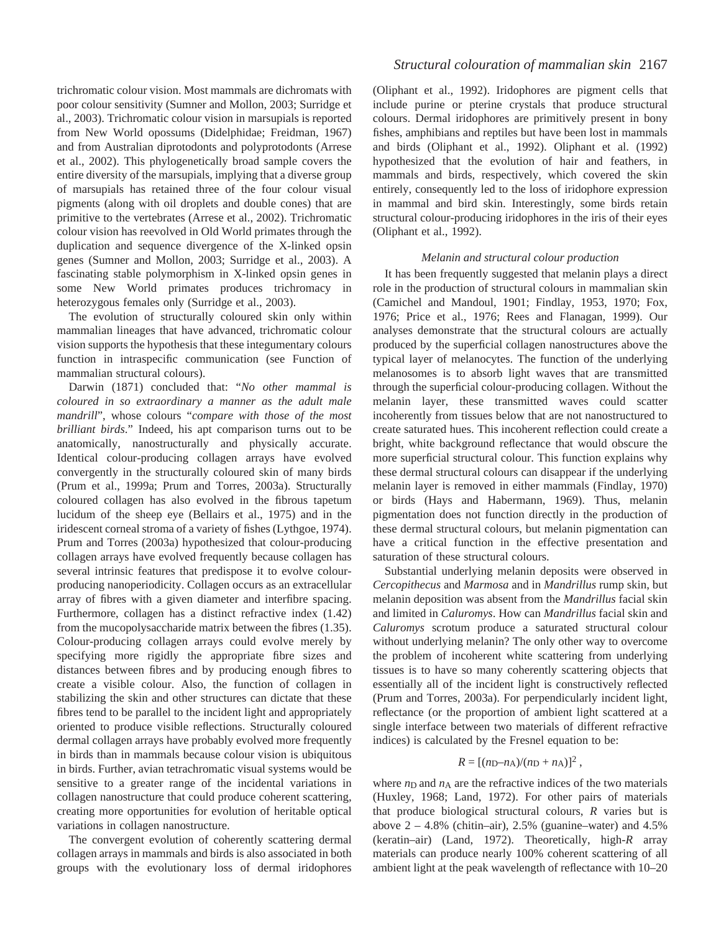trichromatic colour vision. Most mammals are dichromats with poor colour sensitivity (Sumner and Mollon, 2003; Surridge et al., 2003). Trichromatic colour vision in marsupials is reported from New World opossums (Didelphidae; Freidman, 1967) and from Australian diprotodonts and polyprotodonts (Arrese et al., 2002). This phylogenetically broad sample covers the entire diversity of the marsupials, implying that a diverse group of marsupials has retained three of the four colour visual pigments (along with oil droplets and double cones) that are primitive to the vertebrates (Arrese et al., 2002). Trichromatic colour vision has reevolved in Old World primates through the duplication and sequence divergence of the X-linked opsin genes (Sumner and Mollon, 2003; Surridge et al., 2003). A fascinating stable polymorphism in X-linked opsin genes in some New World primates produces trichromacy in heterozygous females only (Surridge et al., 2003).

The evolution of structurally coloured skin only within mammalian lineages that have advanced, trichromatic colour vision supports the hypothesis that these integumentary colours function in intraspecific communication (see Function of mammalian structural colours).

Darwin (1871) concluded that: "*No other mammal is coloured in so extraordinary a manner as the adult male mandrill*", whose colours "*compare with those of the most brilliant birds*." Indeed, his apt comparison turns out to be anatomically, nanostructurally and physically accurate. Identical colour-producing collagen arrays have evolved convergently in the structurally coloured skin of many birds (Prum et al., 1999a; Prum and Torres, 2003a). Structurally coloured collagen has also evolved in the fibrous tapetum lucidum of the sheep eye (Bellairs et al., 1975) and in the iridescent corneal stroma of a variety of fishes (Lythgoe, 1974). Prum and Torres (2003a) hypothesized that colour-producing collagen arrays have evolved frequently because collagen has several intrinsic features that predispose it to evolve colourproducing nanoperiodicity. Collagen occurs as an extracellular array of fibres with a given diameter and interfibre spacing. Furthermore, collagen has a distinct refractive index (1.42) from the mucopolysaccharide matrix between the fibres (1.35). Colour-producing collagen arrays could evolve merely by specifying more rigidly the appropriate fibre sizes and distances between fibres and by producing enough fibres to create a visible colour. Also, the function of collagen in stabilizing the skin and other structures can dictate that these fibres tend to be parallel to the incident light and appropriately oriented to produce visible reflections. Structurally coloured dermal collagen arrays have probably evolved more frequently in birds than in mammals because colour vision is ubiquitous in birds. Further, avian tetrachromatic visual systems would be sensitive to a greater range of the incidental variations in collagen nanostructure that could produce coherent scattering, creating more opportunities for evolution of heritable optical variations in collagen nanostructure.

The convergent evolution of coherently scattering dermal collagen arrays in mammals and birds is also associated in both groups with the evolutionary loss of dermal iridophores

# *Structural colouration of mammalian skin* 2167

(Oliphant et al., 1992). Iridophores are pigment cells that include purine or pterine crystals that produce structural colours. Dermal iridophores are primitively present in bony fishes, amphibians and reptiles but have been lost in mammals and birds (Oliphant et al., 1992). Oliphant et al. (1992) hypothesized that the evolution of hair and feathers, in mammals and birds, respectively, which covered the skin entirely, consequently led to the loss of iridophore expression in mammal and bird skin. Interestingly, some birds retain structural colour-producing iridophores in the iris of their eyes (Oliphant et al., 1992).

## *Melanin and structural colour production*

It has been frequently suggested that melanin plays a direct role in the production of structural colours in mammalian skin (Camichel and Mandoul, 1901; Findlay, 1953, 1970; Fox, 1976; Price et al., 1976; Rees and Flanagan, 1999). Our analyses demonstrate that the structural colours are actually produced by the superficial collagen nanostructures above the typical layer of melanocytes. The function of the underlying melanosomes is to absorb light waves that are transmitted through the superficial colour-producing collagen. Without the melanin layer, these transmitted waves could scatter incoherently from tissues below that are not nanostructured to create saturated hues. This incoherent reflection could create a bright, white background reflectance that would obscure the more superficial structural colour. This function explains why these dermal structural colours can disappear if the underlying melanin layer is removed in either mammals (Findlay, 1970) or birds (Hays and Habermann, 1969). Thus, melanin pigmentation does not function directly in the production of these dermal structural colours, but melanin pigmentation can have a critical function in the effective presentation and saturation of these structural colours.

Substantial underlying melanin deposits were observed in *Cercopithecus* and *Marmosa* and in *Mandrillus* rump skin, but melanin deposition was absent from the *Mandrillus* facial skin and limited in *Caluromys*. How can *Mandrillus* facial skin and *Caluromys* scrotum produce a saturated structural colour without underlying melanin? The only other way to overcome the problem of incoherent white scattering from underlying tissues is to have so many coherently scattering objects that essentially all of the incident light is constructively reflected (Prum and Torres, 2003a). For perpendicularly incident light, reflectance (or the proportion of ambient light scattered at a single interface between two materials of different refractive indices) is calculated by the Fresnel equation to be:

# $R = [(n_D-n_A)/(n_D + n_A)]^2$ ,

where  $n_D$  and  $n_A$  are the refractive indices of the two materials (Huxley, 1968; Land, 1972). For other pairs of materials that produce biological structural colours, *R* varies but is above  $2 - 4.8\%$  (chitin–air), 2.5% (guanine–water) and 4.5% (keratin–air) (Land, 1972). Theoretically, high-*R* array materials can produce nearly 100% coherent scattering of all ambient light at the peak wavelength of reflectance with 10–20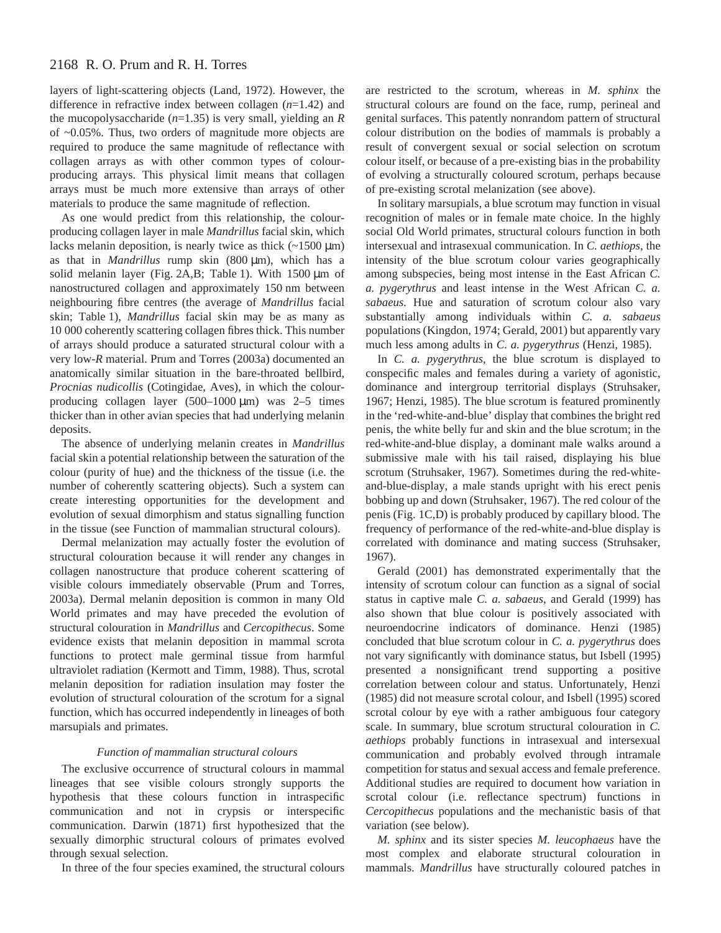layers of light-scattering objects (Land, 1972). However, the difference in refractive index between collagen (*n*=1.42) and the mucopolysaccharide (*n*=1.35) is very small, yielding an *R* of ~0.05%. Thus, two orders of magnitude more objects are required to produce the same magnitude of reflectance with collagen arrays as with other common types of colourproducing arrays. This physical limit means that collagen arrays must be much more extensive than arrays of other materials to produce the same magnitude of reflection.

As one would predict from this relationship, the colourproducing collagen layer in male *Mandrillus* facial skin, which lacks melanin deposition, is nearly twice as thick  $(\sim 1500 \,\text{\mu m})$ as that in *Mandrillus* rump skin (800 µm), which has a solid melanin layer (Fig. 2A,B; Table 1). With  $1500 \mu m$  of nanostructured collagen and approximately 150 nm between neighbouring fibre centres (the average of *Mandrillus* facial skin; Table 1), *Mandrillus* facial skin may be as many as 10 000 coherently scattering collagen fibres thick. This number of arrays should produce a saturated structural colour with a very low-*R* material. Prum and Torres (2003a) documented an anatomically similar situation in the bare-throated bellbird, *Procnias nudicollis* (Cotingidae, Aves), in which the colourproducing collagen layer  $(500-1000 \,\mu m)$  was 2-5 times thicker than in other avian species that had underlying melanin deposits.

The absence of underlying melanin creates in *Mandrillus* facial skin a potential relationship between the saturation of the colour (purity of hue) and the thickness of the tissue (i.e. the number of coherently scattering objects). Such a system can create interesting opportunities for the development and evolution of sexual dimorphism and status signalling function in the tissue (see Function of mammalian structural colours).

Dermal melanization may actually foster the evolution of structural colouration because it will render any changes in collagen nanostructure that produce coherent scattering of visible colours immediately observable (Prum and Torres, 2003a). Dermal melanin deposition is common in many Old World primates and may have preceded the evolution of structural colouration in *Mandrillus* and *Cercopithecus*. Some evidence exists that melanin deposition in mammal scrota functions to protect male germinal tissue from harmful ultraviolet radiation (Kermott and Timm, 1988). Thus, scrotal melanin deposition for radiation insulation may foster the evolution of structural colouration of the scrotum for a signal function, which has occurred independently in lineages of both marsupials and primates.

#### *Function of mammalian structural colours*

The exclusive occurrence of structural colours in mammal lineages that see visible colours strongly supports the hypothesis that these colours function in intraspecific communication and not in crypsis or interspecific communication. Darwin (1871) first hypothesized that the sexually dimorphic structural colours of primates evolved through sexual selection.

In three of the four species examined, the structural colours

are restricted to the scrotum, whereas in *M. sphinx* the structural colours are found on the face, rump, perineal and genital surfaces. This patently nonrandom pattern of structural colour distribution on the bodies of mammals is probably a result of convergent sexual or social selection on scrotum colour itself, or because of a pre-existing bias in the probability of evolving a structurally coloured scrotum, perhaps because of pre-existing scrotal melanization (see above).

In solitary marsupials, a blue scrotum may function in visual recognition of males or in female mate choice. In the highly social Old World primates, structural colours function in both intersexual and intrasexual communication. In *C. aethiops*, the intensity of the blue scrotum colour varies geographically among subspecies, being most intense in the East African *C. a. pygerythrus* and least intense in the West African *C. a. sabaeus.* Hue and saturation of scrotum colour also vary substantially among individuals within *C. a. sabaeus* populations (Kingdon, 1974; Gerald, 2001) but apparently vary much less among adults in *C. a. pygerythrus* (Henzi, 1985).

In *C. a. pygerythrus*, the blue scrotum is displayed to conspecific males and females during a variety of agonistic, dominance and intergroup territorial displays (Struhsaker, 1967; Henzi, 1985). The blue scrotum is featured prominently in the 'red-white-and-blue' display that combines the bright red penis, the white belly fur and skin and the blue scrotum; in the red-white-and-blue display, a dominant male walks around a submissive male with his tail raised, displaying his blue scrotum (Struhsaker, 1967). Sometimes during the red-whiteand-blue-display, a male stands upright with his erect penis bobbing up and down (Struhsaker, 1967). The red colour of the penis (Fig. 1C,D) is probably produced by capillary blood. The frequency of performance of the red-white-and-blue display is correlated with dominance and mating success (Struhsaker, 1967).

Gerald (2001) has demonstrated experimentally that the intensity of scrotum colour can function as a signal of social status in captive male *C. a. sabaeus*, and Gerald (1999) has also shown that blue colour is positively associated with neuroendocrine indicators of dominance. Henzi (1985) concluded that blue scrotum colour in *C. a. pygerythrus* does not vary significantly with dominance status, but Isbell (1995) presented a nonsignificant trend supporting a positive correlation between colour and status. Unfortunately, Henzi (1985) did not measure scrotal colour, and Isbell (1995) scored scrotal colour by eye with a rather ambiguous four category scale. In summary, blue scrotum structural colouration in *C. aethiops* probably functions in intrasexual and intersexual communication and probably evolved through intramale competition for status and sexual access and female preference. Additional studies are required to document how variation in scrotal colour (i.e. reflectance spectrum) functions in *Cercopithecus* populations and the mechanistic basis of that variation (see below).

*M. sphinx* and its sister species *M. leucophaeus* have the most complex and elaborate structural colouration in mammals. *Mandrillus* have structurally coloured patches in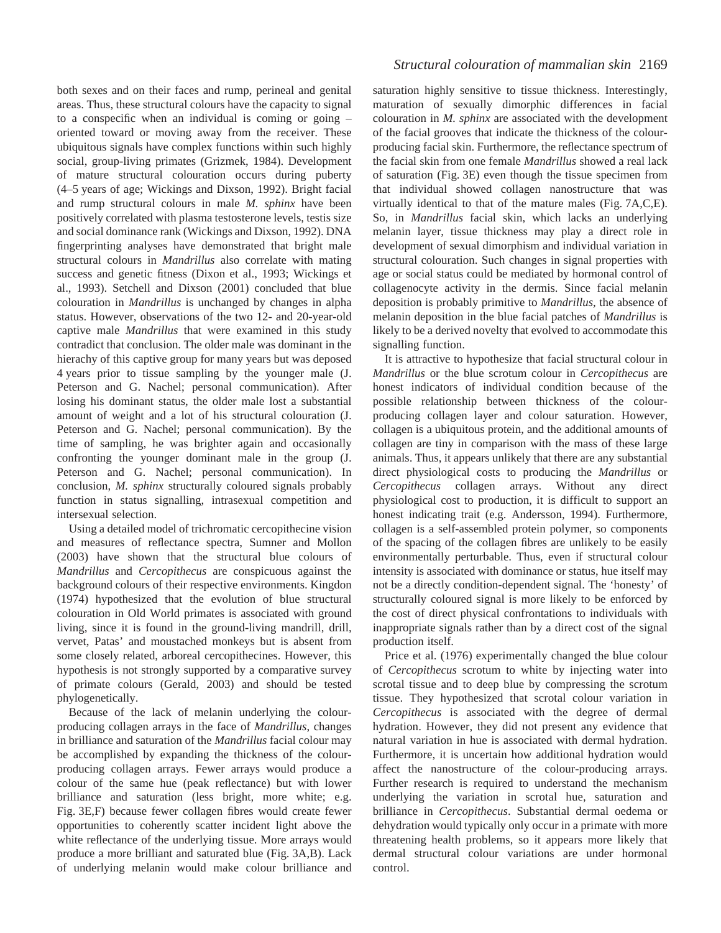both sexes and on their faces and rump, perineal and genital areas. Thus, these structural colours have the capacity to signal to a conspecific when an individual is coming or going – oriented toward or moving away from the receiver. These ubiquitous signals have complex functions within such highly social, group-living primates (Grizmek, 1984). Development of mature structural colouration occurs during puberty (4–5 years of age; Wickings and Dixson, 1992). Bright facial and rump structural colours in male *M. sphinx* have been positively correlated with plasma testosterone levels, testis size and social dominance rank (Wickings and Dixson, 1992). DNA fingerprinting analyses have demonstrated that bright male structural colours in *Mandrillus* also correlate with mating success and genetic fitness (Dixon et al., 1993; Wickings et al., 1993). Setchell and Dixson (2001) concluded that blue colouration in *Mandrillus* is unchanged by changes in alpha status. However, observations of the two 12- and 20-year-old captive male *Mandrillus* that were examined in this study contradict that conclusion. The older male was dominant in the hierachy of this captive group for many years but was deposed 4 years prior to tissue sampling by the younger male (J. Peterson and G. Nachel; personal communication). After losing his dominant status, the older male lost a substantial amount of weight and a lot of his structural colouration (J. Peterson and G. Nachel; personal communication). By the time of sampling, he was brighter again and occasionally confronting the younger dominant male in the group (J. Peterson and G. Nachel; personal communication). In conclusion, *M. sphinx* structurally coloured signals probably function in status signalling, intrasexual competition and intersexual selection.

Using a detailed model of trichromatic cercopithecine vision and measures of reflectance spectra, Sumner and Mollon (2003) have shown that the structural blue colours of *Mandrillus* and *Cercopithecus* are conspicuous against the background colours of their respective environments. Kingdon (1974) hypothesized that the evolution of blue structural colouration in Old World primates is associated with ground living, since it is found in the ground-living mandrill, drill, vervet, Patas' and moustached monkeys but is absent from some closely related, arboreal cercopithecines. However, this hypothesis is not strongly supported by a comparative survey of primate colours (Gerald, 2003) and should be tested phylogenetically.

Because of the lack of melanin underlying the colourproducing collagen arrays in the face of *Mandrillus*, changes in brilliance and saturation of the *Mandrillus* facial colour may be accomplished by expanding the thickness of the colourproducing collagen arrays. Fewer arrays would produce a colour of the same hue (peak reflectance) but with lower brilliance and saturation (less bright, more white; e.g. Fig. 3E,F) because fewer collagen fibres would create fewer opportunities to coherently scatter incident light above the white reflectance of the underlying tissue. More arrays would produce a more brilliant and saturated blue (Fig. 3A,B). Lack of underlying melanin would make colour brilliance and

## *Structural colouration of mammalian skin* 2169

saturation highly sensitive to tissue thickness. Interestingly, maturation of sexually dimorphic differences in facial colouration in *M. sphinx* are associated with the development of the facial grooves that indicate the thickness of the colourproducing facial skin. Furthermore, the reflectance spectrum of the facial skin from one female *Mandrillus* showed a real lack of saturation (Fig. 3E) even though the tissue specimen from that individual showed collagen nanostructure that was virtually identical to that of the mature males (Fig.  $7A, C, E$ ). So, in *Mandrillus* facial skin, which lacks an underlying melanin layer, tissue thickness may play a direct role in development of sexual dimorphism and individual variation in structural colouration. Such changes in signal properties with age or social status could be mediated by hormonal control of collagenocyte activity in the dermis. Since facial melanin deposition is probably primitive to *Mandrillus*, the absence of melanin deposition in the blue facial patches of *Mandrillus* is likely to be a derived novelty that evolved to accommodate this signalling function.

It is attractive to hypothesize that facial structural colour in *Mandrillus* or the blue scrotum colour in *Cercopithecus* are honest indicators of individual condition because of the possible relationship between thickness of the colourproducing collagen layer and colour saturation. However, collagen is a ubiquitous protein, and the additional amounts of collagen are tiny in comparison with the mass of these large animals. Thus, it appears unlikely that there are any substantial direct physiological costs to producing the *Mandrillus* or *Cercopithecus* collagen arrays. Without any direct physiological cost to production, it is difficult to support an honest indicating trait (e.g. Andersson, 1994). Furthermore, collagen is a self-assembled protein polymer, so components of the spacing of the collagen fibres are unlikely to be easily environmentally perturbable. Thus, even if structural colour intensity is associated with dominance or status, hue itself may not be a directly condition-dependent signal. The 'honesty' of structurally coloured signal is more likely to be enforced by the cost of direct physical confrontations to individuals with inappropriate signals rather than by a direct cost of the signal production itself.

Price et al. (1976) experimentally changed the blue colour of *Cercopithecus* scrotum to white by injecting water into scrotal tissue and to deep blue by compressing the scrotum tissue. They hypothesized that scrotal colour variation in *Cercopithecus* is associated with the degree of dermal hydration. However, they did not present any evidence that natural variation in hue is associated with dermal hydration. Furthermore, it is uncertain how additional hydration would affect the nanostructure of the colour-producing arrays. Further research is required to understand the mechanism underlying the variation in scrotal hue, saturation and brilliance in *Cercopithecus*. Substantial dermal oedema or dehydration would typically only occur in a primate with more threatening health problems, so it appears more likely that dermal structural colour variations are under hormonal control.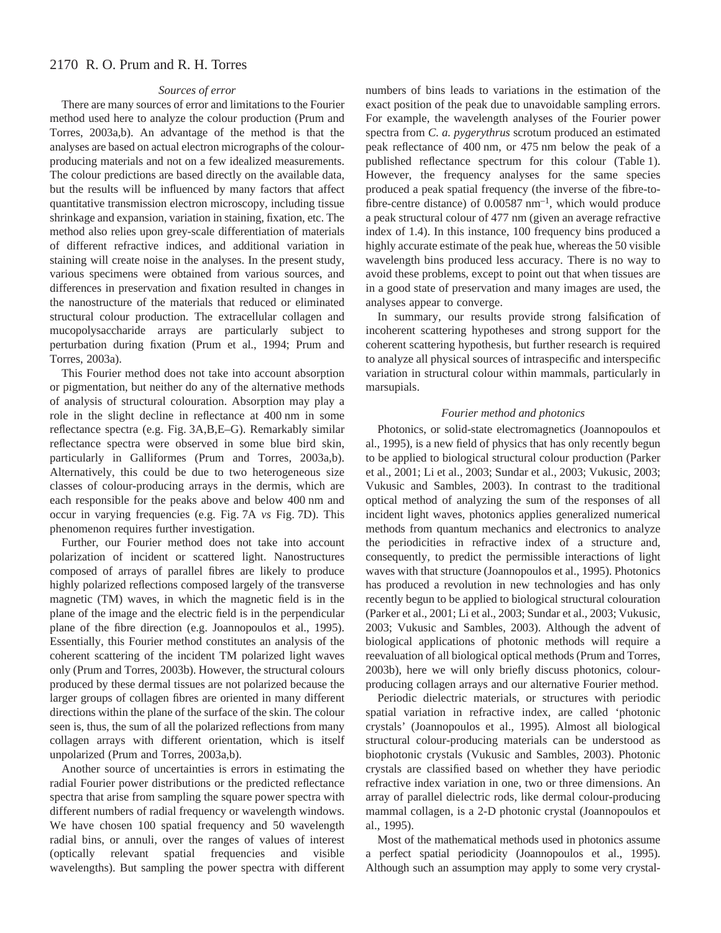#### *Sources of error*

There are many sources of error and limitations to the Fourier method used here to analyze the colour production (Prum and Torres, 2003a,b). An advantage of the method is that the analyses are based on actual electron micrographs of the colourproducing materials and not on a few idealized measurements. The colour predictions are based directly on the available data, but the results will be influenced by many factors that affect quantitative transmission electron microscopy, including tissue shrinkage and expansion, variation in staining, fixation, etc. The method also relies upon grey-scale differentiation of materials of different refractive indices, and additional variation in staining will create noise in the analyses. In the present study, various specimens were obtained from various sources, and differences in preservation and fixation resulted in changes in the nanostructure of the materials that reduced or eliminated structural colour production. The extracellular collagen and mucopolysaccharide arrays are particularly subject to perturbation during fixation (Prum et al., 1994; Prum and Torres, 2003a).

This Fourier method does not take into account absorption or pigmentation, but neither do any of the alternative methods of analysis of structural colouration. Absorption may play a role in the slight decline in reflectance at 400 nm in some reflectance spectra (e.g. Fig. 3A,B,E–G). Remarkably similar reflectance spectra were observed in some blue bird skin, particularly in Galliformes (Prum and Torres, 2003a,b). Alternatively, this could be due to two heterogeneous size classes of colour-producing arrays in the dermis, which are each responsible for the peaks above and below 400 nm and occur in varying frequencies (e.g. Fig. 7A *vs* Fig. 7D). This phenomenon requires further investigation.

Further, our Fourier method does not take into account polarization of incident or scattered light. Nanostructures composed of arrays of parallel fibres are likely to produce highly polarized reflections composed largely of the transverse magnetic (TM) waves, in which the magnetic field is in the plane of the image and the electric field is in the perpendicular plane of the fibre direction (e.g. Joannopoulos et al., 1995). Essentially, this Fourier method constitutes an analysis of the coherent scattering of the incident TM polarized light waves only (Prum and Torres, 2003b). However, the structural colours produced by these dermal tissues are not polarized because the larger groups of collagen fibres are oriented in many different directions within the plane of the surface of the skin. The colour seen is, thus, the sum of all the polarized reflections from many collagen arrays with different orientation, which is itself unpolarized (Prum and Torres, 2003a,b).

Another source of uncertainties is errors in estimating the radial Fourier power distributions or the predicted reflectance spectra that arise from sampling the square power spectra with different numbers of radial frequency or wavelength windows. We have chosen 100 spatial frequency and 50 wavelength radial bins, or annuli, over the ranges of values of interest (optically relevant spatial frequencies and visible wavelengths). But sampling the power spectra with different

numbers of bins leads to variations in the estimation of the exact position of the peak due to unavoidable sampling errors. For example, the wavelength analyses of the Fourier power spectra from *C. a. pygerythrus* scrotum produced an estimated peak reflectance of 400 nm, or 475 nm below the peak of a published reflectance spectrum for this colour (Table 1). However, the frequency analyses for the same species produced a peak spatial frequency (the inverse of the fibre-tofibre-centre distance) of  $0.00587$  nm<sup>-1</sup>, which would produce a peak structural colour of 477 nm (given an average refractive index of 1.4). In this instance, 100 frequency bins produced a highly accurate estimate of the peak hue, whereas the 50 visible wavelength bins produced less accuracy. There is no way to avoid these problems, except to point out that when tissues are in a good state of preservation and many images are used, the analyses appear to converge.

In summary, our results provide strong falsification of incoherent scattering hypotheses and strong support for the coherent scattering hypothesis, but further research is required to analyze all physical sources of intraspecific and interspecific variation in structural colour within mammals, particularly in marsupials.

#### *Fourier method and photonics*

Photonics, or solid-state electromagnetics (Joannopoulos et al., 1995), is a new field of physics that has only recently begun to be applied to biological structural colour production (Parker et al., 2001; Li et al., 2003; Sundar et al., 2003; Vukusic, 2003; Vukusic and Sambles, 2003). In contrast to the traditional optical method of analyzing the sum of the responses of all incident light waves, photonics applies generalized numerical methods from quantum mechanics and electronics to analyze the periodicities in refractive index of a structure and, consequently, to predict the permissible interactions of light waves with that structure (Joannopoulos et al., 1995). Photonics has produced a revolution in new technologies and has only recently begun to be applied to biological structural colouration (Parker et al., 2001; Li et al., 2003; Sundar et al., 2003; Vukusic, 2003; Vukusic and Sambles, 2003). Although the advent of biological applications of photonic methods will require a reevaluation of all biological optical methods (Prum and Torres, 2003b), here we will only briefly discuss photonics, colourproducing collagen arrays and our alternative Fourier method.

Periodic dielectric materials, or structures with periodic spatial variation in refractive index, are called 'photonic crystals' (Joannopoulos et al., 1995)*.* Almost all biological structural colour-producing materials can be understood as biophotonic crystals (Vukusic and Sambles, 2003). Photonic crystals are classified based on whether they have periodic refractive index variation in one, two or three dimensions. An array of parallel dielectric rods, like dermal colour-producing mammal collagen, is a 2-D photonic crystal (Joannopoulos et al., 1995).

Most of the mathematical methods used in photonics assume a perfect spatial periodicity (Joannopoulos et al., 1995). Although such an assumption may apply to some very crystal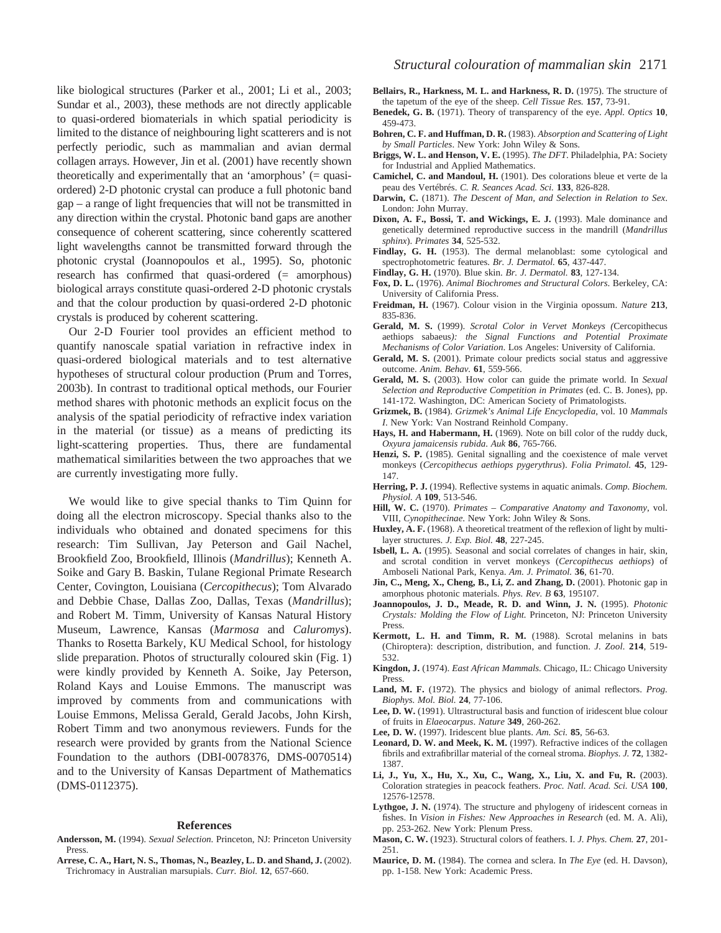like biological structures (Parker et al., 2001; Li et al., 2003; Sundar et al., 2003), these methods are not directly applicable to quasi-ordered biomaterials in which spatial periodicity is limited to the distance of neighbouring light scatterers and is not perfectly periodic, such as mammalian and avian dermal collagen arrays. However, Jin et al. (2001) have recently shown theoretically and experimentally that an 'amorphous' (= quasiordered) 2-D photonic crystal can produce a full photonic band gap – a range of light frequencies that will not be transmitted in any direction within the crystal. Photonic band gaps are another consequence of coherent scattering, since coherently scattered light wavelengths cannot be transmitted forward through the photonic crystal (Joannopoulos et al., 1995). So, photonic research has confirmed that quasi-ordered (= amorphous) biological arrays constitute quasi-ordered 2-D photonic crystals and that the colour production by quasi-ordered 2-D photonic crystals is produced by coherent scattering.

Our 2-D Fourier tool provides an efficient method to quantify nanoscale spatial variation in refractive index in quasi-ordered biological materials and to test alternative hypotheses of structural colour production (Prum and Torres, 2003b). In contrast to traditional optical methods, our Fourier method shares with photonic methods an explicit focus on the analysis of the spatial periodicity of refractive index variation in the material (or tissue) as a means of predicting its light-scattering properties. Thus, there are fundamental mathematical similarities between the two approaches that we are currently investigating more fully.

We would like to give special thanks to Tim Quinn for doing all the electron microscopy. Special thanks also to the individuals who obtained and donated specimens for this research: Tim Sullivan, Jay Peterson and Gail Nachel, Brookfield Zoo, Brookfield, Illinois (*Mandrillus*); Kenneth A. Soike and Gary B. Baskin, Tulane Regional Primate Research Center, Covington, Louisiana (*Cercopithecus*); Tom Alvarado and Debbie Chase, Dallas Zoo, Dallas, Texas (*Mandrillus*); and Robert M. Timm, University of Kansas Natural History Museum, Lawrence, Kansas (*Marmosa* and *Caluromys*). Thanks to Rosetta Barkely, KU Medical School, for histology slide preparation. Photos of structurally coloured skin (Fig. 1) were kindly provided by Kenneth A. Soike, Jay Peterson, Roland Kays and Louise Emmons. The manuscript was improved by comments from and communications with Louise Emmons, Melissa Gerald, Gerald Jacobs, John Kirsh, Robert Timm and two anonymous reviewers. Funds for the research were provided by grants from the National Science Foundation to the authors (DBI-0078376, DMS-0070514) and to the University of Kansas Department of Mathematics (DMS-0112375).

#### **References**

- **Andersson, M.** (1994). *Sexual Selection.* Princeton, NJ: Princeton University Press.
- **Arrese, C. A., Hart, N. S., Thomas, N., Beazley, L. D. and Shand, J.** (2002). Trichromacy in Australian marsupials. *Curr. Biol.* **12**, 657-660.
- Bellairs, R., Harkness, M. L. and Harkness, R. D. (1975). The structure of the tapetum of the eye of the sheep. *Cell Tissue Res.* **157**, 73-91.
- **Benedek, G. B.** (1971). Theory of transparency of the eye. *Appl. Optics* **10**, 459-473.
- **Bohren, C. F. and Huffman, D. R.** (1983). *Absorption and Scattering of Light by Small Particles*. New York: John Wiley & Sons.
- **Briggs, W. L. and Henson, V. E.** (1995). *The DFT*. Philadelphia, PA: Society for Industrial and Applied Mathematics.
- **Camichel, C. and Mandoul, H.** (1901). Des colorations bleue et verte de la peau des Vertébrés. *C. R. Seances Acad. Sci.* **133**, 826-828.
- **Darwin, C.** (1871). *The Descent of Man, and Selection in Relation to Sex*. London: John Murray.
- **Dixon, A. F., Bossi, T. and Wickings, E. J.** (1993). Male dominance and genetically determined reproductive success in the mandrill (*Mandrillus sphinx*). *Primates* **34**, 525-532.
- Findlay, G. H. (1953). The dermal melanoblast: some cytological and spectrophotometric features. *Br. J. Dermatol.* **65**, 437-447.
- **Findlay, G. H.** (1970). Blue skin. *Br. J. Dermatol.* **83**, 127-134.
- **Fox, D. L.** (1976). *Animal Biochromes and Structural Colors*. Berkeley, CA: University of California Press.
- **Freidman, H.** (1967). Colour vision in the Virginia opossum. *Nature* **213**, 835-836.
- **Gerald, M. S.** (1999). *Scrotal Color in Vervet Monkeys (*Cercopithecus aethiops sabaeus*): the Signal Functions and Potential Proximate Mechanisms of Color Variation*. Los Angeles: University of California.
- Gerald, M. S. (2001). Primate colour predicts social status and aggressive outcome. *Anim. Behav.* **61**, 559-566.
- **Gerald, M. S.** (2003). How color can guide the primate world. In *Sexual Selection and Reproductive Competition in Primates* (ed. C. B. Jones), pp. 141-172. Washington, DC: American Society of Primatologists.
- **Grizmek, B.** (1984). *Grizmek's Animal Life Encyclopedia*, vol. 10 *Mammals I*. New York: Van Nostrand Reinhold Company.
- Hays, H. and Habermann, H. (1969). Note on bill color of the ruddy duck, *Oxyura jamaicensis rubida*. *Auk* **86**, 765-766.
- Henzi, S. P. (1985). Genital signalling and the coexistence of male vervet monkeys (*Cercopithecus aethiops pygerythrus*). *Folia Primatol.* **45**, 129- 147.
- **Herring, P. J.** (1994). Reflective systems in aquatic animals. *Comp. Biochem. Physiol. A* **109**, 513-546.
- **Hill, W. C.** (1970). *Primates Comparative Anatomy and Taxonomy*, vol. VIII, *Cynopithecinae*. New York: John Wiley & Sons.
- Huxley, A. F. (1968). A theoretical treatment of the reflexion of light by multilayer structures. *J. Exp. Biol.* **48**, 227-245.
- Isbell, L. A. (1995). Seasonal and social correlates of changes in hair, skin, and scrotal condition in vervet monkeys (*Cercopithecus aethiops*) of Amboseli National Park, Kenya. *Am. J. Primatol.* **36**, 61-70.
- **Jin, C., Meng, X., Cheng, B., Li, Z. and Zhang, D.** (2001). Photonic gap in amorphous photonic materials. *Phys. Rev. B* **63**, 195107.
- **Joannopoulos, J. D., Meade, R. D. and Winn, J. N.** (1995). *Photonic Crystals: Molding the Flow of Light.* Princeton, NJ: Princeton University Press.
- **Kermott, L. H. and Timm, R. M.** (1988). Scrotal melanins in bats (Chiroptera): description, distribution, and function. *J. Zool.* **214**, 519- 532.
- **Kingdon, J.** (1974). *East African Mammals.* Chicago, IL: Chicago University Press.
- **Land, M. F.** (1972). The physics and biology of animal reflectors. *Prog. Biophys. Mol. Biol.* **24**, 77-106.
- Lee, D. W. (1991). Ultrastructural basis and function of iridescent blue colour of fruits in *Elaeocarpus*. *Nature* **349**, 260-262.
- **Lee, D. W.** (1997). Iridescent blue plants. *Am. Sci.* **85**, 56-63.
- Leonard, D. W. and Meek, K. M. (1997). Refractive indices of the collagen fibrils and extrafibrillar material of the corneal stroma. *Biophys. J.* **72**, 1382- 1387.
- **Li, J., Yu, X., Hu, X., Xu, C., Wang, X., Liu, X. and Fu, R.** (2003). Coloration strategies in peacock feathers. *Proc. Natl. Acad. Sci. USA* **100**, 12576-12578.
- Lythgoe, J. N. (1974). The structure and phylogeny of iridescent corneas in fishes. In *Vision in Fishes: New Approaches in Research* (ed. M. A. Ali), pp. 253-262. New York: Plenum Press.
- **Mason, C. W.** (1923). Structural colors of feathers. I. *J. Phys. Chem.* **27**, 201- 251.
- **Maurice, D. M.** (1984). The cornea and sclera. In *The Eye* (ed. H. Davson), pp. 1-158. New York: Academic Press.